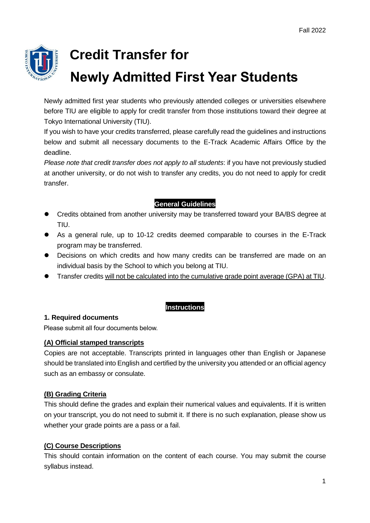

# **Credit Transfer for Newly Admitted First Year Students**

Newly admitted first year students who previously attended colleges or universities elsewhere before TIU are eligible to apply for credit transfer from those institutions toward their degree at Tokyo International University (TIU).

If you wish to have your credits transferred, please carefully read the guidelines and instructions below and submit all necessary documents to the E-Track Academic Affairs Office by the deadline.

*Please note that credit transfer does not apply to all students*: if you have not previously studied at another university, or do not wish to transfer any credits, you do not need to apply for credit transfer.

# **General Guidelines**

- Credits obtained from another university may be transferred toward your BA/BS degree at TIU.
- As a general rule, up to 10-12 credits deemed comparable to courses in the E-Track program may be transferred.
- Decisions on which credits and how many credits can be transferred are made on an individual basis by the School to which you belong at TIU.
- Transfer credits will not be calculated into the cumulative grade point average (GPA) at TIU.

# **Instructions**

# **1. Required documents**

Please submit all four documents below.

# **(A) Official stamped transcripts**

Copies are not acceptable. Transcripts printed in languages other than English or Japanese should be translated into English and certified by the university you attended or an official agency such as an embassy or consulate.

# **(B) Grading Criteria**

This should define the grades and explain their numerical values and equivalents. If it is written on your transcript, you do not need to submit it. If there is no such explanation, please show us whether your grade points are a pass or a fail.

# **(C) Course Descriptions**

This should contain information on the content of each course. You may submit the course syllabus instead.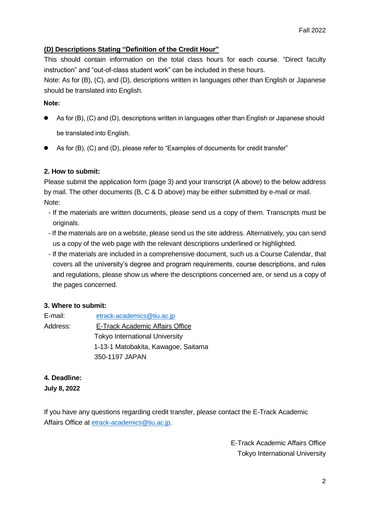#### **(D) Descriptions Stating "Definition of the Credit Hour"**

This should contain information on the total class hours for each course. "Direct faculty instruction" and "out-of-class student work" can be included in these hours.

Note: As for (B), (C), and (D), descriptions written in languages other than English or Japanese should be translated into English.

#### **Note:**

- As for (B), (C) and (D), descriptions written in languages other than English or Japanese should be translated into English.
- As for (B), (C) and (D), please refer to "Examples of documents for credit transfer"

#### **2. How to submit:**

Please submit the application form (page 3) and your transcript (A above) to the below address by mail. The other documents (B, C & D above) may be either submitted by e-mail or mail. Note:

- If the materials are written documents, please send us a copy of them. Transcripts must be originals.
- If the materials are on a website, please send us the site address. Alternatively, you can send us a copy of the web page with the relevant descriptions underlined or highlighted.
- If the materials are included in a comprehensive document, such us a Course Calendar, that covers all the university's degree and program requirements, course descriptions, and rules and regulations, please show us where the descriptions concerned are, or send us a copy of the pages concerned.

#### **3. Where to submit:**

| E-mail:  | etrack-academics@tiu.ac.jp             |
|----------|----------------------------------------|
| Address: | <b>E-Track Academic Affairs Office</b> |
|          | <b>Tokyo International University</b>  |
|          | 1-13-1 Matobakita, Kawagoe, Saitama    |
|          | 350-1197 JAPAN                         |

#### **4. Deadline:**

**July 8, 2022**

If you have any questions regarding credit transfer, please contact the E-Track Academic Affairs Office at [etrack-academics@tiu.ac.jp.](mailto:etrack-academics@tiu.ac.jp)

> E-Track Academic Affairs Office Tokyo International University